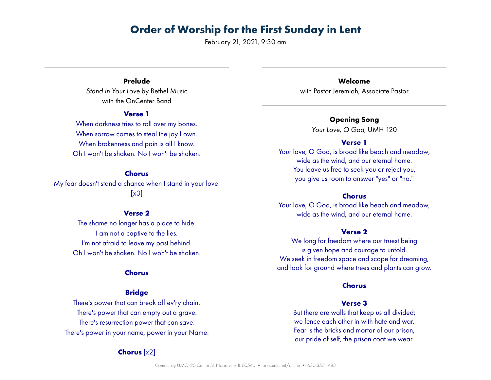February 21, 2021, 9:30 am

## **Prelude**

*Stand In Your Love* by Bethel Music with the OnCenter Band

#### **Verse 1**

When darkness tries to roll over my bones. When sorrow comes to steal the joy I own. When brokenness and pain is all I know. Oh I won't be shaken. No I won't be shaken.

#### **Chorus**

My fear doesn't stand a chance when I stand in your love.  $[x3]$ 

#### **Verse 2**

The shame no longer has a place to hide. I am not a captive to the lies. I'm not afraid to leave my past behind. Oh I won't be shaken. No I won't be shaken.

#### **Chorus**

#### **Bridge**

There's power that can break off ev'ry chain. There's power that can empty out a grave. There's resurrection power that can save. There's power in your name, power in your Name.

#### **Chorus** [x2]

**Welcome** with Pastor Jeremiah, Associate Pastor

### **Opening Song**

*Your Love, O God*, UMH 120

#### **Verse 1**

Your love, O God, is broad like beach and meadow, wide as the wind, and our eternal home. You leave us free to seek you or reject you, you give us room to answer "yes" or "no."

#### **Chorus**

Your love, O God, is broad like beach and meadow, wide as the wind, and our eternal home.

#### **Verse 2**

We long for freedom where our truest being is given hope and courage to unfold. We seek in freedom space and scope for dreaming, and look for ground where trees and plants can grow.

#### **Chorus**

#### **Verse 3**

But there are walls that keep us all divided; we fence each other in with hate and war. Fear is the bricks and mortar of our prison, our pride of self, the prison coat we wear.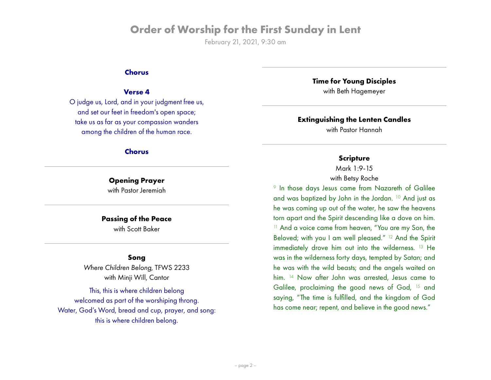February 21, 2021, 9:30 am

#### **Chorus**

#### **Verse 4**

O judge us, Lord, and in your judgment free us, and set our feet in freedom's open space; take us as far as your compassion wanders among the children of the human race.

#### **Chorus**

# **Opening Prayer**

with Pastor Jeremiah

#### **Passing of the Peace**

with Scott Baker

#### **Song**

*Where Children Belong*, TFWS 2233 with Minji Will, Cantor

This, this is where children belong welcomed as part of the worshiping throng. Water, God's Word, bread and cup, prayer, and song: this is where children belong.

**Time for Young Disciples**

with Beth Hagemeyer

#### **Extinguishing the Lenten Candles**

with Pastor Hannah

#### **Scripture**

Mark 1:9-15 with Betsy Roche

<sup>9</sup> In those days Jesus came from Nazareth of Galilee and was baptized by John in the Jordan. 10 And just as he was coming up out of the water, he saw the heavens torn apart and the Spirit descending like a dove on him. <sup>11</sup> And a voice came from heaven, "You are my Son, the Beloved; with you I am well pleased." 12 And the Spirit immediately drove him out into the wilderness. 13 He was in the wilderness forty days, tempted by Satan; and he was with the wild beasts; and the angels waited on him. <sup>14</sup> Now after John was arrested, Jesus came to Galilee, proclaiming the good news of God, 15 and saying, "The time is fulfilled, and the kingdom of God has come near; repent, and believe in the good news."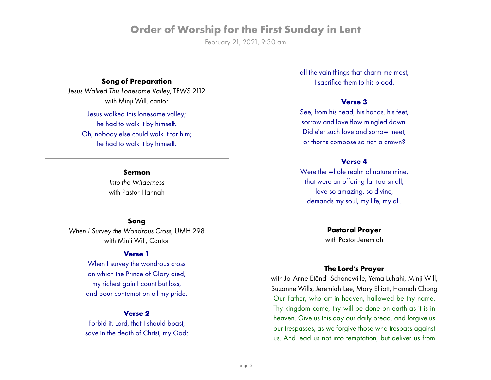February 21, 2021, 9:30 am

# **Song of Preparation**

*Jesus Walked This Lonesome Valley*, TFWS 2112 with Minji Will, cantor

> Jesus walked this lonesome valley; he had to walk it by himself. Oh, nobody else could walk it for him; he had to walk it by himself.

> > **Sermon** *Into the Wilderness* with Pastor Hannah

#### **Song**

*When I Survey the Wondrous Cross*, UMH 298 with Minji Will, Cantor

### **Verse 1**

When I survey the wondrous cross on which the Prince of Glory died, my richest gain I count but loss, and pour contempt on all my pride.

#### **Verse 2**

Forbid it, Lord, that I should boast, save in the death of Christ, my God; all the vain things that charm me most, I sacrifice them to his blood.

#### **Verse 3**

See, from his head, his hands, his feet, sorrow and love flow mingled down. Did e'er such love and sorrow meet, or thorns compose so rich a crown?

#### **Verse 4**

Were the whole realm of nature mine. that were an offering far too small; love so amazing, so divine, demands my soul, my life, my all.

> **Pastoral Prayer** with Pastor Jeremiah

### **The Lord's Prayer**

with Jo-Anne Etôndi-Schonewille, Yema Luhahi, Minji Will, Suzanne Wills, Jeremiah Lee, Mary Elliott, Hannah Chong Our Father, who art in heaven, hallowed be thy name. Thy kingdom come, thy will be done on earth as it is in heaven. Give us this day our daily bread, and forgive us our trespasses, as we forgive those who trespass against us. And lead us not into temptation, but deliver us from